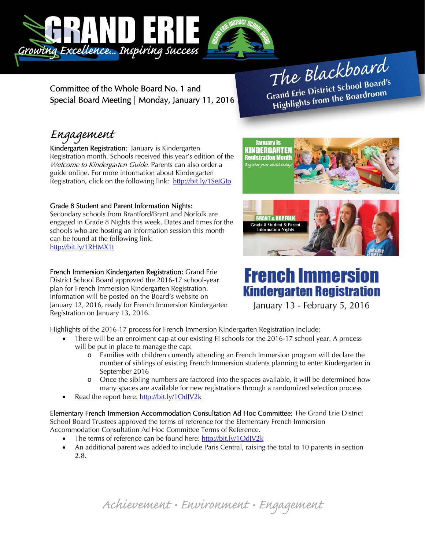

**January is** KINDERGARTEN **Jistration Month** .<br>Register your child to

Committee of the Whole Board No. 1 and Special Board Meeting | Monday, January 11, 2016

The Blackboard The Burnor<br>Grand Erie District School Board's<br>Lite from the Boardroom rand Erie District Schoor Board<br>Highlights from the Boardroom

## Engagement

Kindergarten Registration: January is Kindergarten Registration month. Schools received this year's edition of the Welcome to Kindergarten Guide. Parents can also order a guide online. For more information about Kindergarten Registration, click on the following link: http://bit.ly/1SelGlp

## Grade 8 Student and Parent Information Nights:

Secondary schools from Brantford/Brant and Norfolk are engaged in Grade 8 Nights this week. Dates and times for the schools who are hosting an information session this month can be found at the following link: http://bit.ly/1RHMX1t

### French Immersion Kindergarten Registration: Grand Erie

District School Board approved the 2016-17 school-year plan for French Immersion Kindergarten Registration. Information will be posted on the Board's website on January 12, 2016, ready for French Immersion Kindergarten Registration on January 13, 2016.

Highlights of the 2016-17 process for French Immersion Kindergarten Registration include:

- There will be an enrolment cap at our existing FI schools for the 2016-17 school year. A process will be put in place to manage the cap:
	- o Families with children currently attending an French Immersion program will declare the number of siblings of existing French Immersion students planning to enter Kindergarten in September 2016
	- o Once the sibling numbers are factored into the spaces available, it will be determined how many spaces are available for new registrations through a randomized selection process
- Read the report here: http://bit.ly/1OdJV2k

Elementary French Immersion Accommodation Consultation Ad Hoc Committee: The Grand Erie District School Board Trustees approved the terms of reference for the Elementary French Immersion Accommodation Consultation Ad Hoc Committee Terms of Reference.

- The terms of reference can be found here: http://bit.ly/1OdJV2k
- An additional parent was added to include Paris Central, raising the total to 10 parents in section 2.8.



# **French Immersion Kindergarten Registration**

January 13 - February 5, 2016

Achievement • Environment • Engagement